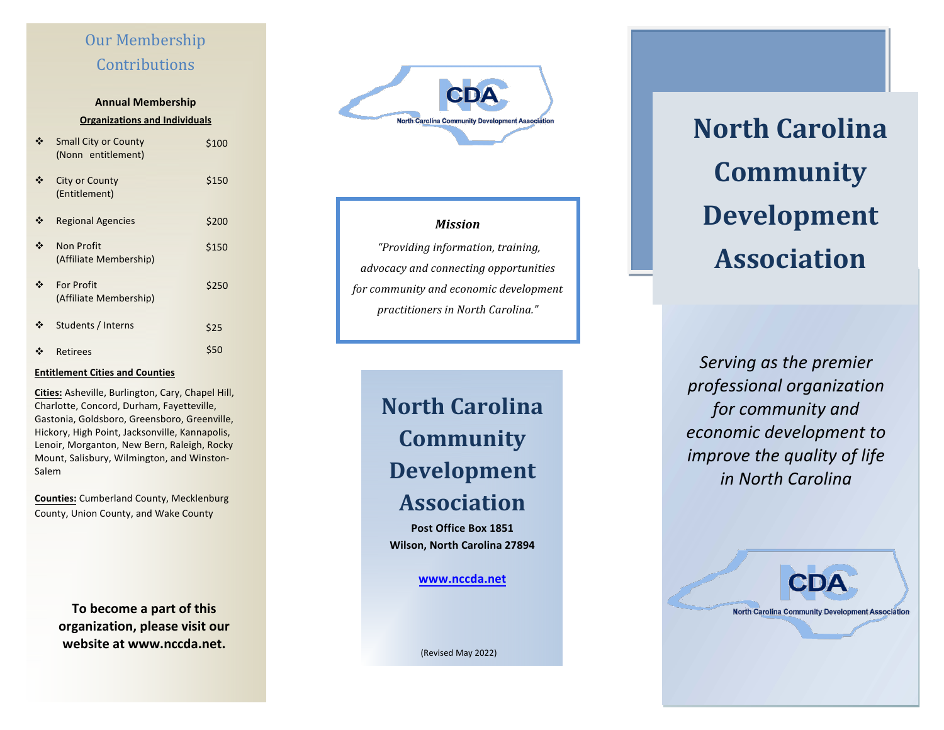## Our Membership **Contributions**

## **Annual Membership Organizations and Individuals**

| <b>Small City or County</b><br>(Nonn entitlement) | \$100 |
|---------------------------------------------------|-------|
| <b>City or County</b><br>(Entitlement)            | \$150 |
| <b>Regional Agencies</b>                          | \$200 |
| <b>Non Profit</b><br>(Affiliate Membership)       | \$150 |
| <b>For Profit</b><br>(Affiliate Membership)       | \$250 |
| Students / Interns                                | \$25  |
| Retirees                                          | \$50  |

### **Entitlement Cities and Counties**

**Cities:** Asheville, Burlington, Cary, Chapel Hill, Charlotte, Concord, Durham, Fayetteville, Gastonia, Goldsboro, Greensboro, Greenville, Hickory, High Point, Jacksonville, Kannapolis, Lenoir, Morganton, New Bern, Raleigh, Rocky Mount, Salisbury, Wilmington, and Winston-Salem

**Counties:** Cumberland County, Mecklenburg County, Union County, and Wake County 

> To become a part of this **organization, please visit our website at www.nccda.net.**



## *Mission*

 *"Providing information, training, advocacy and connecting opportunities for community and economic development practitioners in North Carolina."* 

> **North Carolina Community Development Association**

**Post Office Box 1851 Wilson, North Carolina 27894** 

**www.nccda.net**

(Revised May 2022) 

**North Carolina Community Development Association** 

Serving as the premier *professional organization*  for community and *economic development to improve the quality of life in North Carolina* 

**North Carolina Community Development Association**